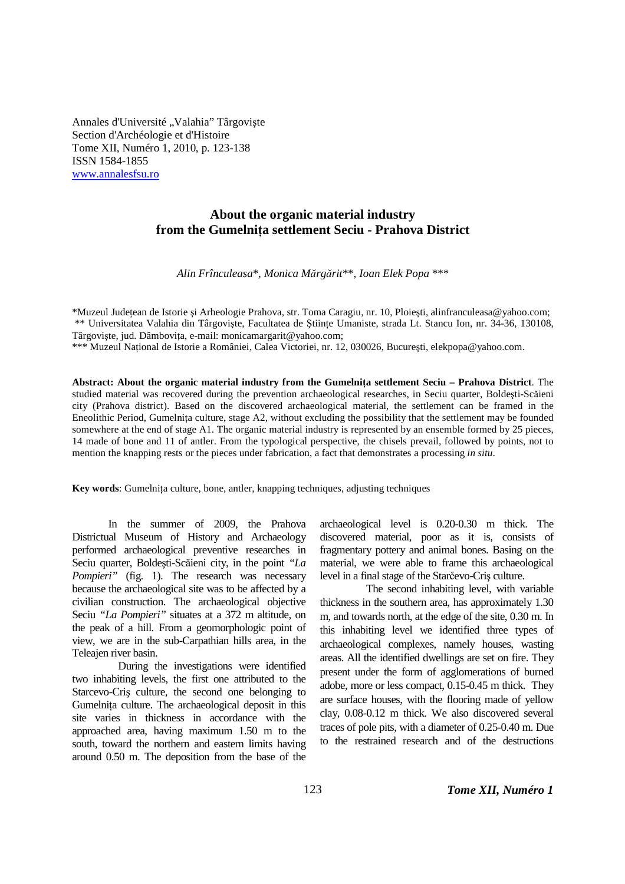Annales d'Université "Valahia" Târgoviște Section d'Archéologie et d'Histoire Tome XII, Numéro 1, 2010, p. 123-138 ISSN 1584-1855 www.annalesfsu.ro

# **About the organic material industry from the Gumelniţa settlement Seciu - Prahova District**

*Alin Frînculeasa*\**, Monica Mărgărit*\*\**, Ioan Elek Popa* \*\*\*

\*Muzeul Judeţean de Istorie şi Arheologie Prahova, str. Toma Caragiu, nr. 10, Ploieşti, alinfranculeasa@yahoo.com; \*\* Universitatea Valahia din Târgovişte, Facultatea de Ştiinţe Umaniste, strada Lt. Stancu Ion, nr. 34-36, 130108, Târgoviște, jud. Dâmbovița, e-mail: monicamargarit@yahoo.com;

\*\*\* Muzeul Naţional de Istorie a României, Calea Victoriei, nr. 12, 030026, Bucureşti, elekpopa@yahoo.com.

**Abstract: About the organic material industry from the Gumelniţa settlement Seciu – Prahova District**. The studied material was recovered during the prevention archaeological researches, in Seciu quarter, Boldeşti-Scăieni city (Prahova district). Based on the discovered archaeological material, the settlement can be framed in the Eneolithic Period, Gumelniţa culture, stage A2, without excluding the possibility that the settlement may be founded somewhere at the end of stage A1. The organic material industry is represented by an ensemble formed by 25 pieces, 14 made of bone and 11 of antler. From the typological perspective, the chisels prevail, followed by points, not to mention the knapping rests or the pieces under fabrication, a fact that demonstrates a processing *in situ*.

**Key words**: Gumelniţa culture, bone, antler, knapping techniques, adjusting techniques

In the summer of 2009, the Prahova Districtual Museum of History and Archaeology performed archaeological preventive researches in Seciu quarter, Boldeşti-Scăieni city, in the point *"La Pompieri"* (fig. 1). The research was necessary because the archaeological site was to be affected by a civilian construction. The archaeological objective Seciu *"La Pompieri"* situates at a 372 m altitude, on the peak of a hill. From a geomorphologic point of view, we are in the sub-Carpathian hills area, in the Teleajen river basin.

During the investigations were identified two inhabiting levels, the first one attributed to the Starcevo-Criş culture, the second one belonging to Gumelnița culture. The archaeological deposit in this site varies in thickness in accordance with the approached area, having maximum 1.50 m to the south, toward the northern and eastern limits having around 0.50 m. The deposition from the base of the

archaeological level is 0.20-0.30 m thick. The discovered material, poor as it is, consists of fragmentary pottery and animal bones. Basing on the material, we were able to frame this archaeological level in a final stage of the Starčevo-Criş culture.

The second inhabiting level, with variable thickness in the southern area, has approximately 1.30 m, and towards north, at the edge of the site, 0.30 m. In this inhabiting level we identified three types of archaeological complexes, namely houses, wasting areas. All the identified dwellings are set on fire. They present under the form of agglomerations of burned adobe, more or less compact, 0.15-0.45 m thick. They are surface houses, with the flooring made of yellow clay, 0.08-0.12 m thick. We also discovered several traces of pole pits, with a diameter of 0.25-0.40 m. Due to the restrained research and of the destructions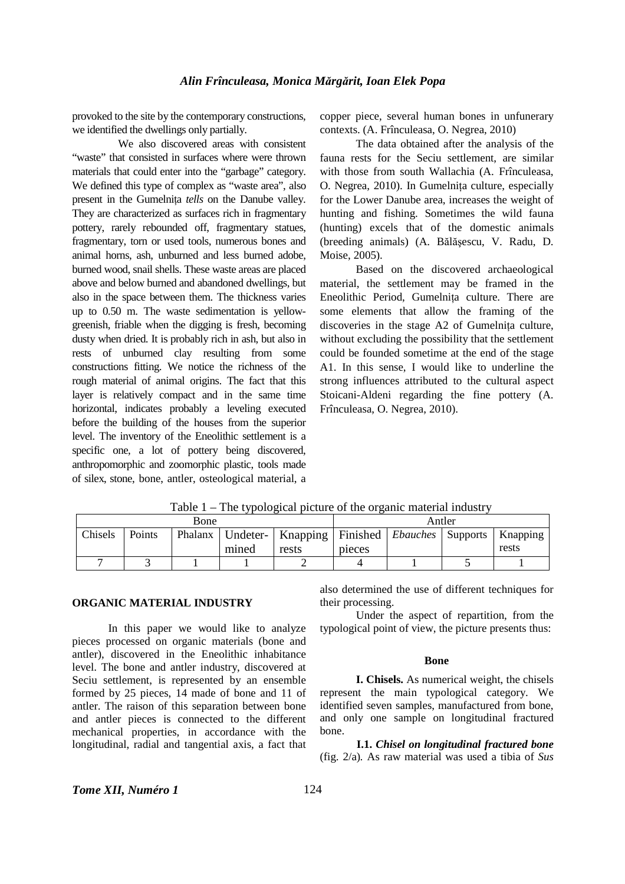provoked to the site by the contemporary constructions, we identified the dwellings only partially.

We also discovered areas with consistent "waste" that consisted in surfaces where were thrown materials that could enter into the "garbage" category. We defined this type of complex as "waste area", also present in the Gumelniţa *tells* on the Danube valley. They are characterized as surfaces rich in fragmentary pottery, rarely rebounded off, fragmentary statues, fragmentary, torn or used tools, numerous bones and animal horns, ash, unburned and less burned adobe, burned wood, snail shells. These waste areas are placed above and below burned and abandoned dwellings, but also in the space between them. The thickness varies up to 0.50 m. The waste sedimentation is yellowgreenish, friable when the digging is fresh, becoming dusty when dried. It is probably rich in ash, but also in rests of unburned clay resulting from some constructions fitting. We notice the richness of the rough material of animal origins. The fact that this layer is relatively compact and in the same time horizontal, indicates probably a leveling executed before the building of the houses from the superior level. The inventory of the Eneolithic settlement is a specific one, a lot of pottery being discovered, anthropomorphic and zoomorphic plastic, tools made of silex, stone, bone, antler, osteological material, a copper piece, several human bones in unfunerary contexts. (A. Frînculeasa, O. Negrea, 2010)

The data obtained after the analysis of the fauna rests for the Seciu settlement, are similar with those from south Wallachia (A. Frînculeasa, O. Negrea, 2010). In Gumelniţa culture, especially for the Lower Danube area, increases the weight of hunting and fishing. Sometimes the wild fauna (hunting) excels that of the domestic animals (breeding animals) (A. Bălăşescu, V. Radu, D. Moise, 2005).

Based on the discovered archaeological material, the settlement may be framed in the Eneolithic Period, Gumelniţa culture. There are some elements that allow the framing of the discoveries in the stage A2 of Gumelniţa culture, without excluding the possibility that the settlement could be founded sometime at the end of the stage A1. In this sense, I would like to underline the strong influences attributed to the cultural aspect Stoicani-Aldeni regarding the fine pottery (A. Frînculeasa, O. Negrea, 2010).

| Bone    |        |  |       | Antler                                                                                    |        |  |  |       |
|---------|--------|--|-------|-------------------------------------------------------------------------------------------|--------|--|--|-------|
| Chisels | Points |  | mined | Phalanx   Undeter-   Knapping   Finished   <i>Ebauches</i>   Supports   Knapping<br>rests | pieces |  |  | rests |
|         |        |  |       |                                                                                           |        |  |  |       |

Table 1 – The typological picture of the organic material industry

### **ORGANIC MATERIAL INDUSTRY**

In this paper we would like to analyze pieces processed on organic materials (bone and antler), discovered in the Eneolithic inhabitance level. The bone and antler industry, discovered at Seciu settlement, is represented by an ensemble formed by 25 pieces, 14 made of bone and 11 of antler. The raison of this separation between bone and antler pieces is connected to the different mechanical properties, in accordance with the longitudinal, radial and tangential axis, a fact that

also determined the use of different techniques for their processing.

Under the aspect of repartition, from the typological point of view, the picture presents thus:

### **Bone**

**I. Chisels.** As numerical weight, the chisels represent the main typological category. We identified seven samples, manufactured from bone, and only one sample on longitudinal fractured bone.

**I.1.** *Chisel on longitudinal fractured bone*  (fig. 2/a)*.* As raw material was used a tibia of *Sus*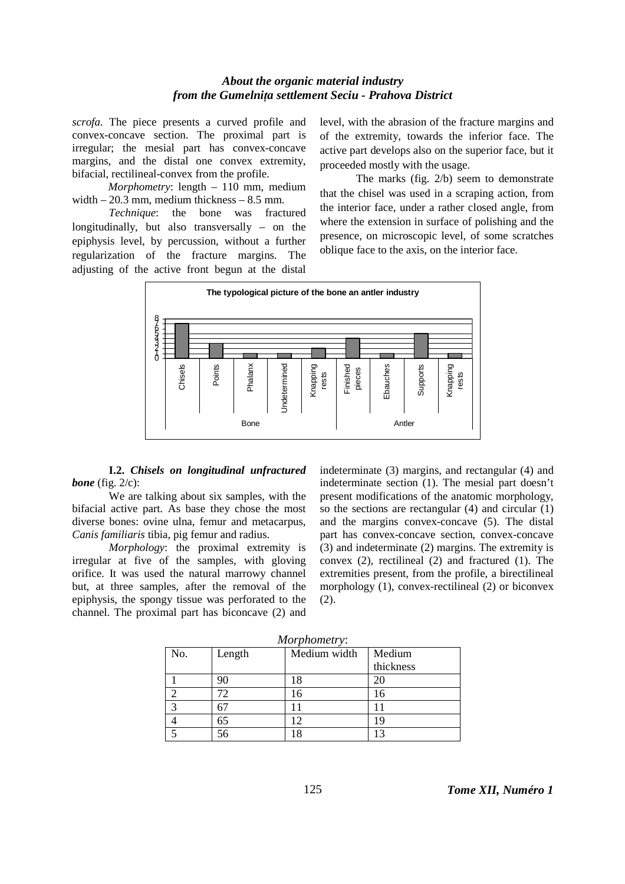*scrofa*. The piece presents a curved profile and convex-concave section. The proximal part is irregular; the mesial part has convex-concave margins, and the distal one convex extremity, bifacial, rectilineal-convex from the profile.

*Morphometry*: length – 110 mm, medium width  $-20.3$  mm, medium thickness  $-8.5$  mm.

*Technique*: the bone was fractured longitudinally, but also transversally – on the epiphysis level, by percussion, without a further regularization of the fracture margins. The adjusting of the active front begun at the distal level, with the abrasion of the fracture margins and of the extremity, towards the inferior face. The active part develops also on the superior face, but it proceeded mostly with the usage.

The marks (fig. 2/b) seem to demonstrate that the chisel was used in a scraping action, from the interior face, under a rather closed angle, from where the extension in surface of polishing and the presence, on microscopic level, of some scratches oblique face to the axis, on the interior face.



**I.2.** *Chisels on longitudinal unfractured bone* (fig. 2/c):

 We are talking about six samples, with the bifacial active part. As base they chose the most diverse bones: ovine ulna, femur and metacarpus, *Canis familiaris* tibia, pig femur and radius.

 *Morphology*: the proximal extremity is irregular at five of the samples, with gloving orifice. It was used the natural marrowy channel but, at three samples, after the removal of the epiphysis, the spongy tissue was perforated to the channel. The proximal part has biconcave (2) and indeterminate (3) margins, and rectangular (4) and indeterminate section (1). The mesial part doesn't present modifications of the anatomic morphology, so the sections are rectangular (4) and circular (1) and the margins convex-concave (5). The distal part has convex-concave section, convex-concave (3) and indeterminate (2) margins. The extremity is convex (2), rectilineal (2) and fractured (1). The extremities present, from the profile, a birectilineal morphology (1), convex-rectilineal (2) or biconvex (2).

| No.           | Length | Medium width | Medium<br>thickness |
|---------------|--------|--------------|---------------------|
|               | 90     | 18           | 20                  |
|               | 72     | 16           | 16                  |
| $\mathcal{L}$ |        | 11           |                     |
|               | 65     | 12           | 19                  |
|               | 56     | 18           |                     |

*Morphometry*: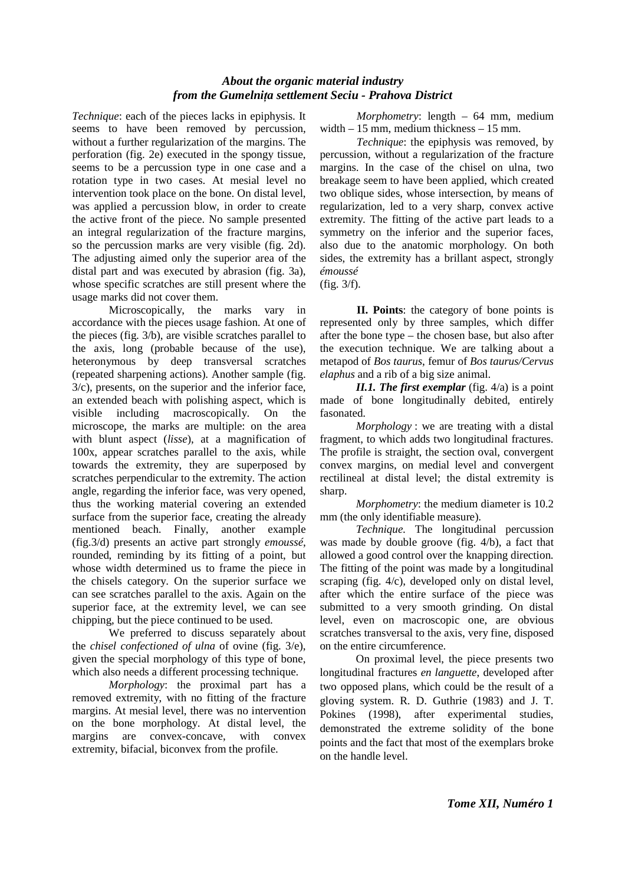*Technique*: each of the pieces lacks in epiphysis. It seems to have been removed by percussion, without a further regularization of the margins. The perforation (fig. 2e) executed in the spongy tissue, seems to be a percussion type in one case and a rotation type in two cases. At mesial level no intervention took place on the bone. On distal level, was applied a percussion blow, in order to create the active front of the piece. No sample presented an integral regularization of the fracture margins, so the percussion marks are very visible (fig. 2d). The adjusting aimed only the superior area of the distal part and was executed by abrasion (fig. 3a), whose specific scratches are still present where the usage marks did not cover them.

 Microscopically, the marks vary in accordance with the pieces usage fashion. At one of the pieces (fig. 3/b), are visible scratches parallel to the axis, long (probable because of the use), heteronymous by deep transversal scratches (repeated sharpening actions). Another sample (fig. 3/c), presents, on the superior and the inferior face, an extended beach with polishing aspect, which is visible including macroscopically. On the microscope, the marks are multiple: on the area with blunt aspect (*lisse*), at a magnification of 100x, appear scratches parallel to the axis, while towards the extremity, they are superposed by scratches perpendicular to the extremity. The action angle, regarding the inferior face, was very opened, thus the working material covering an extended surface from the superior face, creating the already mentioned beach. Finally, another example (fig.3/d) presents an active part strongly *emoussé*, rounded, reminding by its fitting of a point, but whose width determined us to frame the piece in the chisels category. On the superior surface we can see scratches parallel to the axis. Again on the superior face, at the extremity level, we can see chipping, but the piece continued to be used.

 We preferred to discuss separately about the *chisel confectioned of ulna* of ovine (fig. 3/e), given the special morphology of this type of bone, which also needs a different processing technique.

*Morphology*: the proximal part has a removed extremity, with no fitting of the fracture margins. At mesial level, there was no intervention on the bone morphology. At distal level, the margins are convex-concave, with convex extremity, bifacial, biconvex from the profile.

*Morphometry*: length – 64 mm, medium width – 15 mm, medium thickness – 15 mm.

*Technique*: the epiphysis was removed, by percussion, without a regularization of the fracture margins. In the case of the chisel on ulna, two breakage seem to have been applied, which created two oblique sides, whose intersection, by means of regularization, led to a very sharp, convex active extremity. The fitting of the active part leads to a symmetry on the inferior and the superior faces, also due to the anatomic morphology. On both sides, the extremity has a brillant aspect, strongly *émoussé*

(fig. 3/f).

**II. Points**: the category of bone points is represented only by three samples, which differ after the bone type – the chosen base, but also after the execution technique. We are talking about a metapod of *Bos taurus*, femur of *Bos taurus/Cervus elaphus* and a rib of a big size animal.

*II.1. The first exemplar* (fig. 4/a) is a point made of bone longitudinally debited, entirely fasonated.

*Morphology* : we are treating with a distal fragment, to which adds two longitudinal fractures. The profile is straight, the section oval, convergent convex margins, on medial level and convergent rectilineal at distal level; the distal extremity is sharp.

*Morphometry*: the medium diameter is 10.2 mm (the only identifiable measure).

*Technique*. The longitudinal percussion was made by double groove (fig. 4/b), a fact that allowed a good control over the knapping direction. The fitting of the point was made by a longitudinal scraping (fig. 4/c), developed only on distal level, after which the entire surface of the piece was submitted to a very smooth grinding. On distal level, even on macroscopic one, are obvious scratches transversal to the axis, very fine, disposed on the entire circumference.

On proximal level, the piece presents two longitudinal fractures *en languette*, developed after two opposed plans, which could be the result of a gloving system. R. D. Guthrie (1983) and J. T. Pokines (1998), after experimental studies, demonstrated the extreme solidity of the bone points and the fact that most of the exemplars broke on the handle level.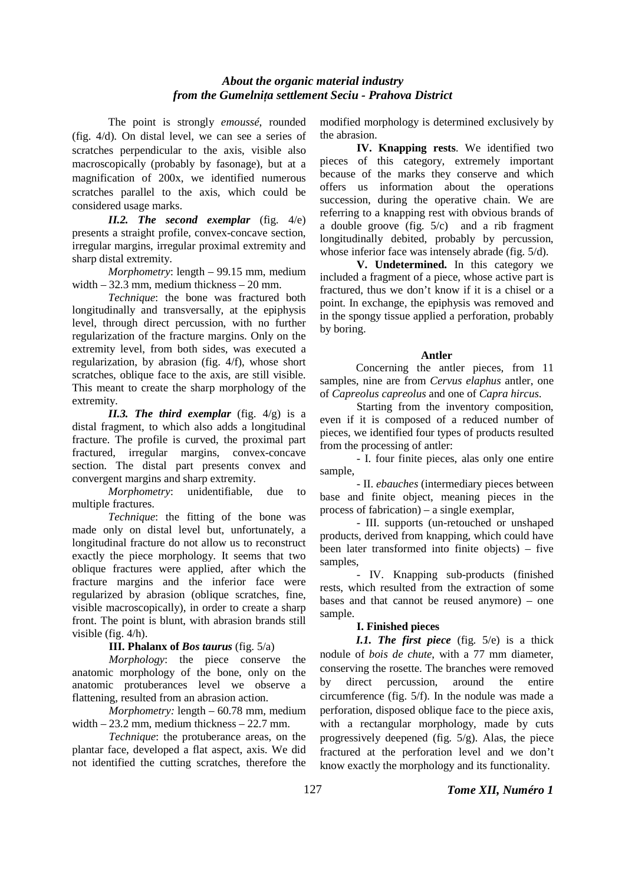The point is strongly *emoussé*, rounded (fig. 4/d). On distal level, we can see a series of scratches perpendicular to the axis, visible also macroscopically (probably by fasonage), but at a magnification of 200x, we identified numerous scratches parallel to the axis, which could be considered usage marks.

*II.2. The second exemplar* (fig. 4/e) presents a straight profile, convex-concave section, irregular margins, irregular proximal extremity and sharp distal extremity.

*Morphometry*: length – 99.15 mm, medium width – 32.3 mm, medium thickness – 20 mm.

*Technique*: the bone was fractured both longitudinally and transversally, at the epiphysis level, through direct percussion, with no further regularization of the fracture margins. Only on the extremity level, from both sides, was executed a regularization, by abrasion (fig. 4/f), whose short scratches, oblique face to the axis, are still visible. This meant to create the sharp morphology of the extremity.

*II.3. The third exemplar* (fig. 4/g) is a distal fragment, to which also adds a longitudinal fracture. The profile is curved, the proximal part fractured, irregular margins, convex-concave section. The distal part presents convex and convergent margins and sharp extremity.

*Morphometry*: unidentifiable, due to multiple fractures.

*Technique*: the fitting of the bone was made only on distal level but, unfortunately, a longitudinal fracture do not allow us to reconstruct exactly the piece morphology. It seems that two oblique fractures were applied, after which the fracture margins and the inferior face were regularized by abrasion (oblique scratches, fine, visible macroscopically), in order to create a sharp front. The point is blunt, with abrasion brands still visible (fig. 4/h).

# **III. Phalanx of** *Bos taurus* (fig. 5/a)

*Morphology*: the piece conserve the anatomic morphology of the bone, only on the anatomic protuberances level we observe a flattening, resulted from an abrasion action.

*Morphometry:* length – 60.78 mm, medium width – 23.2 mm, medium thickness – 22.7 mm.

*Technique*: the protuberance areas, on the plantar face, developed a flat aspect, axis. We did not identified the cutting scratches, therefore the modified morphology is determined exclusively by the abrasion.

**IV. Knapping rests**. We identified two pieces of this category, extremely important because of the marks they conserve and which offers us information about the operations succession, during the operative chain. We are referring to a knapping rest with obvious brands of a double groove (fig. 5/c) and a rib fragment longitudinally debited, probably by percussion, whose inferior face was intensely abrade (fig. 5/d).

**V. Undetermined.** In this category we included a fragment of a piece, whose active part is fractured, thus we don't know if it is a chisel or a point. In exchange, the epiphysis was removed and in the spongy tissue applied a perforation, probably by boring.

# **Antler**

Concerning the antler pieces, from 11 samples, nine are from *Cervus elaphus* antler, one of *Capreolus capreolus* and one of *Capra hircus*.

Starting from the inventory composition, even if it is composed of a reduced number of pieces, we identified four types of products resulted from the processing of antler:

- I. four finite pieces, alas only one entire sample,

- II. *ebauches* (intermediary pieces between base and finite object, meaning pieces in the process of fabrication) – a single exemplar,

- III. supports (un-retouched or unshaped products, derived from knapping, which could have been later transformed into finite objects) – five samples,

- IV. Knapping sub-products (finished rests, which resulted from the extraction of some bases and that cannot be reused anymore) – one sample.

# **I. Finished pieces**

*I.1. The first piece* (fig. 5/e) is a thick nodule of *bois de chute*, with a 77 mm diameter, conserving the rosette. The branches were removed by direct percussion, around the entire circumference (fig. 5/f). In the nodule was made a perforation, disposed oblique face to the piece axis, with a rectangular morphology, made by cuts progressively deepened (fig. 5/g). Alas, the piece fractured at the perforation level and we don't know exactly the morphology and its functionality.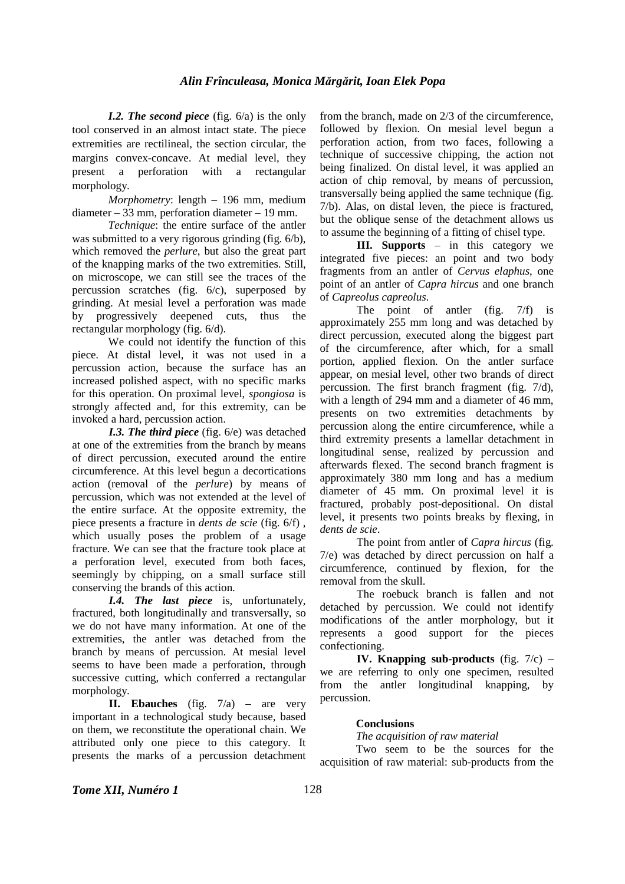*I.2. The second piece* (fig. 6/a) is the only tool conserved in an almost intact state. The piece extremities are rectilineal, the section circular, the margins convex-concave. At medial level, they present a perforation with a rectangular morphology.

*Morphometry*: length – 196 mm, medium diameter – 33 mm, perforation diameter – 19 mm.

*Technique*: the entire surface of the antler was submitted to a very rigorous grinding (fig. 6/b). which removed the *perlure*, but also the great part of the knapping marks of the two extremities. Still, on microscope, we can still see the traces of the percussion scratches (fig. 6/c), superposed by grinding. At mesial level a perforation was made by progressively deepened cuts, thus the rectangular morphology (fig. 6/d).

We could not identify the function of this piece. At distal level, it was not used in a percussion action, because the surface has an increased polished aspect, with no specific marks for this operation. On proximal level, *spongiosa* is strongly affected and, for this extremity, can be invoked a hard, percussion action.

*I.3. The third piece* (fig. 6/e) was detached at one of the extremities from the branch by means of direct percussion, executed around the entire circumference. At this level begun a decortications action (removal of the *perlure*) by means of percussion, which was not extended at the level of the entire surface. At the opposite extremity, the piece presents a fracture in *dents de scie* (fig. 6/f) , which usually poses the problem of a usage fracture. We can see that the fracture took place at a perforation level, executed from both faces, seemingly by chipping, on a small surface still conserving the brands of this action.

*I.4. The last piece* is, unfortunately, fractured, both longitudinally and transversally, so we do not have many information. At one of the extremities, the antler was detached from the branch by means of percussion. At mesial level seems to have been made a perforation, through successive cutting, which conferred a rectangular morphology.

**II. Ebauches** (fig. 7/a) – are very important in a technological study because, based on them, we reconstitute the operational chain. We attributed only one piece to this category. It presents the marks of a percussion detachment from the branch, made on 2/3 of the circumference, followed by flexion. On mesial level begun a perforation action, from two faces, following a technique of successive chipping, the action not being finalized. On distal level, it was applied an action of chip removal, by means of percussion, transversally being applied the same technique (fig. 7/b). Alas, on distal leven, the piece is fractured, but the oblique sense of the detachment allows us to assume the beginning of a fitting of chisel type.

**III. Supports** – in this category we integrated five pieces: an point and two body fragments from an antler of *Cervus elaphus*, one point of an antler of *Capra hircus* and one branch of *Capreolus capreolus*.

The point of antler (fig. 7/f) is approximately 255 mm long and was detached by direct percussion, executed along the biggest part of the circumference, after which, for a small portion, applied flexion. On the antler surface appear, on mesial level, other two brands of direct percussion. The first branch fragment (fig. 7/d), with a length of 294 mm and a diameter of 46 mm. presents on two extremities detachments by percussion along the entire circumference, while a third extremity presents a lamellar detachment in longitudinal sense, realized by percussion and afterwards flexed. The second branch fragment is approximately 380 mm long and has a medium diameter of 45 mm. On proximal level it is fractured, probably post-depositional. On distal level, it presents two points breaks by flexing, in *dents de scie*.

The point from antler of *Capra hircus* (fig. 7/e) was detached by direct percussion on half a circumference, continued by flexion, for the removal from the skull.

The roebuck branch is fallen and not detached by percussion. We could not identify modifications of the antler morphology, but it represents a good support for the pieces confectioning.

**IV. Knapping sub-products** (fig. 7/c) – we are referring to only one specimen, resulted from the antler longitudinal knapping, by percussion.

### **Conclusions**

*The acquisition of raw material* 

Two seem to be the sources for the acquisition of raw material: sub-products from the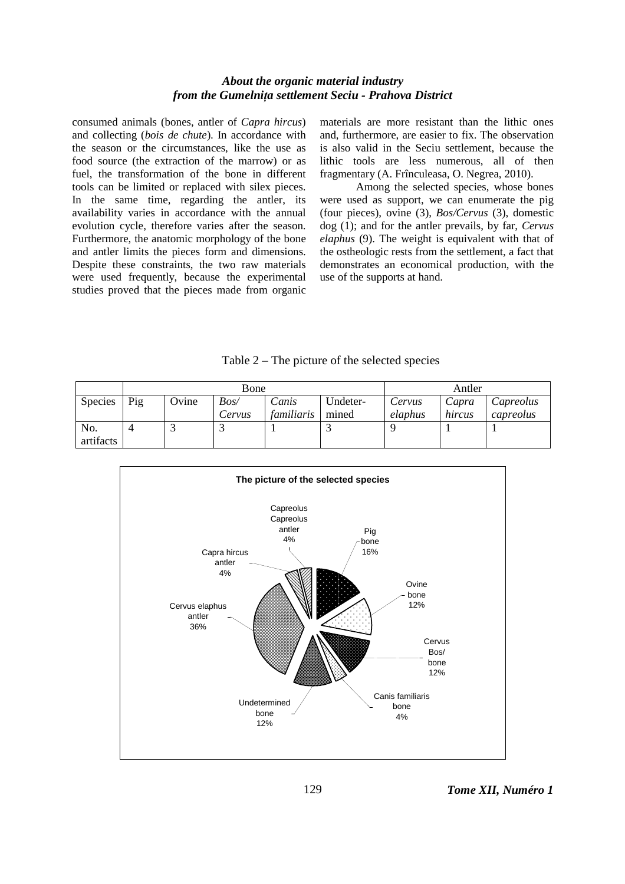consumed animals (bones, antler of *Capra hircus*) and collecting (*bois de chute*). In accordance with the season or the circumstances, like the use as food source (the extraction of the marrow) or as fuel, the transformation of the bone in different tools can be limited or replaced with silex pieces. In the same time, regarding the antler, its availability varies in accordance with the annual evolution cycle, therefore varies after the season. Furthermore, the anatomic morphology of the bone and antler limits the pieces form and dimensions. Despite these constraints, the two raw materials were used frequently, because the experimental studies proved that the pieces made from organic

materials are more resistant than the lithic ones and, furthermore, are easier to fix. The observation is also valid in the Seciu settlement, because the lithic tools are less numerous, all of then fragmentary (A. Frînculeasa, O. Negrea, 2010).

Among the selected species, whose bones were used as support, we can enumerate the pig (four pieces), ovine (3), *Bos/Cervus* (3), domestic dog (1); and for the antler prevails, by far, *Cervus elaphus* (9). The weight is equivalent with that of the ostheologic rests from the settlement, a fact that demonstrates an economical production, with the use of the supports at hand.

|                | Bone |       |        |            |          | Antler  |        |           |
|----------------|------|-------|--------|------------|----------|---------|--------|-----------|
| <b>Species</b> | Pig  | Ovine | Bos/   | Canis      | Undeter- | Cervus  | Capra  | Capreolus |
|                |      |       | Cervus | familiaris | mined    | elaphus | hircus | capreolus |
| No.            | 4    | ت     |        |            |          |         |        |           |
| artifacts      |      |       |        |            |          |         |        |           |

Table 2 – The picture of the selected species

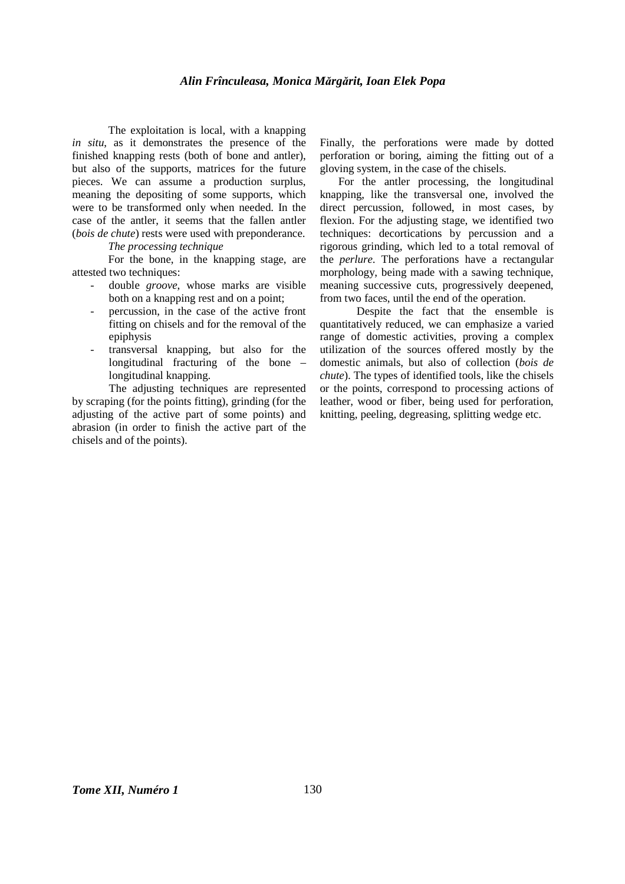### *Alin Frînculeasa, Monica Mărgărit, Ioan Elek Popa*

The exploitation is local, with a knapping *in situ*, as it demonstrates the presence of the finished knapping rests (both of bone and antler), but also of the supports, matrices for the future pieces. We can assume a production surplus, meaning the depositing of some supports, which were to be transformed only when needed. In the case of the antler, it seems that the fallen antler (*bois de chute*) rests were used with preponderance.

# *The processing technique*

For the bone, in the knapping stage, are attested two techniques:

- double *groove*, whose marks are visible both on a knapping rest and on a point;
- percussion, in the case of the active front fitting on chisels and for the removal of the epiphysis
- transversal knapping, but also for the longitudinal fracturing of the bone – longitudinal knapping.

The adjusting techniques are represented by scraping (for the points fitting), grinding (for the adjusting of the active part of some points) and abrasion (in order to finish the active part of the chisels and of the points).

Finally, the perforations were made by dotted perforation or boring, aiming the fitting out of a gloving system, in the case of the chisels.

For the antler processing, the longitudinal knapping, like the transversal one, involved the direct percussion, followed, in most cases, by flexion. For the adjusting stage, we identified two techniques: decortications by percussion and a rigorous grinding, which led to a total removal of the *perlure*. The perforations have a rectangular morphology, being made with a sawing technique, meaning successive cuts, progressively deepened, from two faces, until the end of the operation.

 Despite the fact that the ensemble is quantitatively reduced, we can emphasize a varied range of domestic activities, proving a complex utilization of the sources offered mostly by the domestic animals, but also of collection (*bois de chute*). The types of identified tools, like the chisels or the points, correspond to processing actions of leather, wood or fiber, being used for perforation, knitting, peeling, degreasing, splitting wedge etc.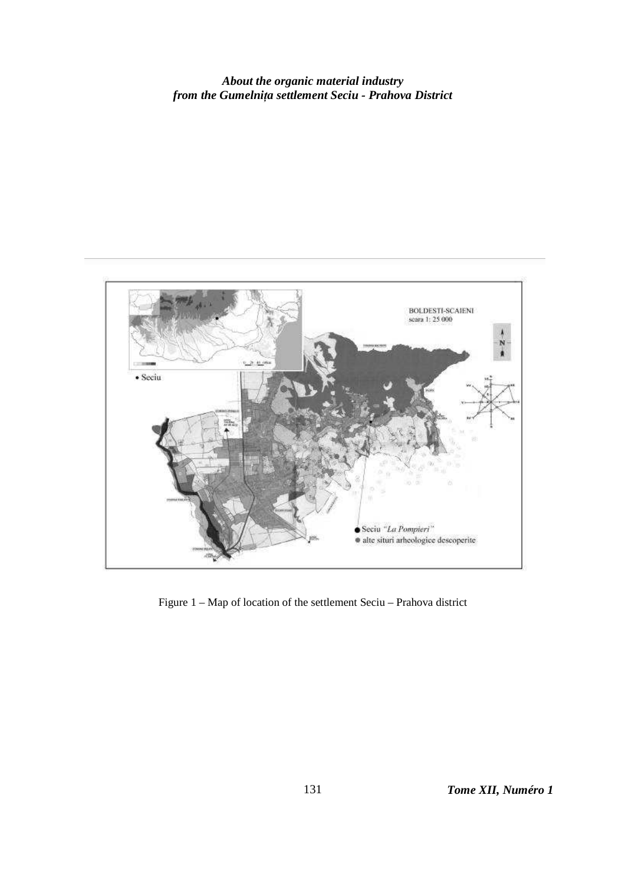

Figure 1 – Map of location of the settlement Seciu – Prahova district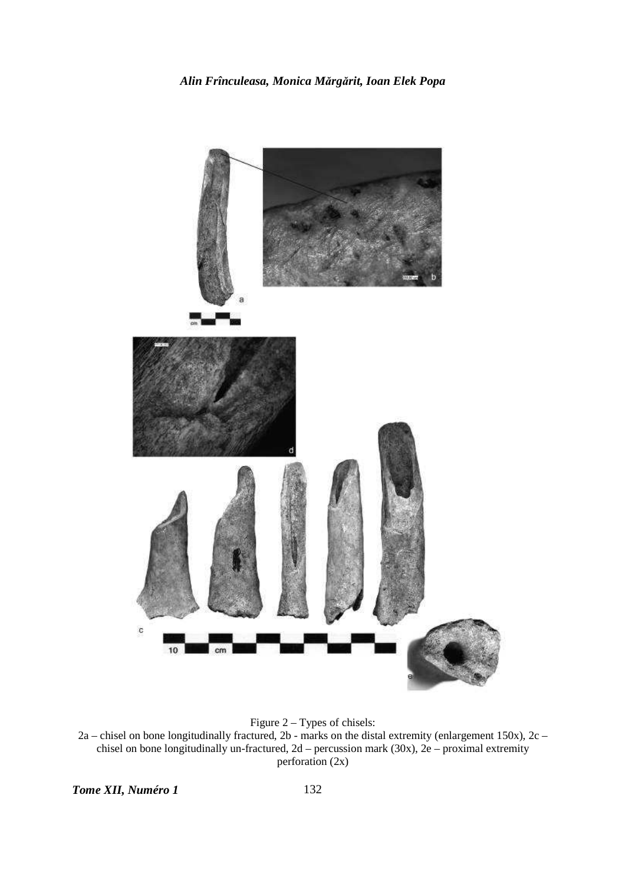

Figure 2 – Types of chisels:  $2a$  – chisel on bone longitudinally fractured, 2b - marks on the distal extremity (enlargement 150x), 2c – chisel on bone longitudinally un-fractured,  $2d$  – percussion mark (30x),  $2e$  – proximal extremity perforation (2x)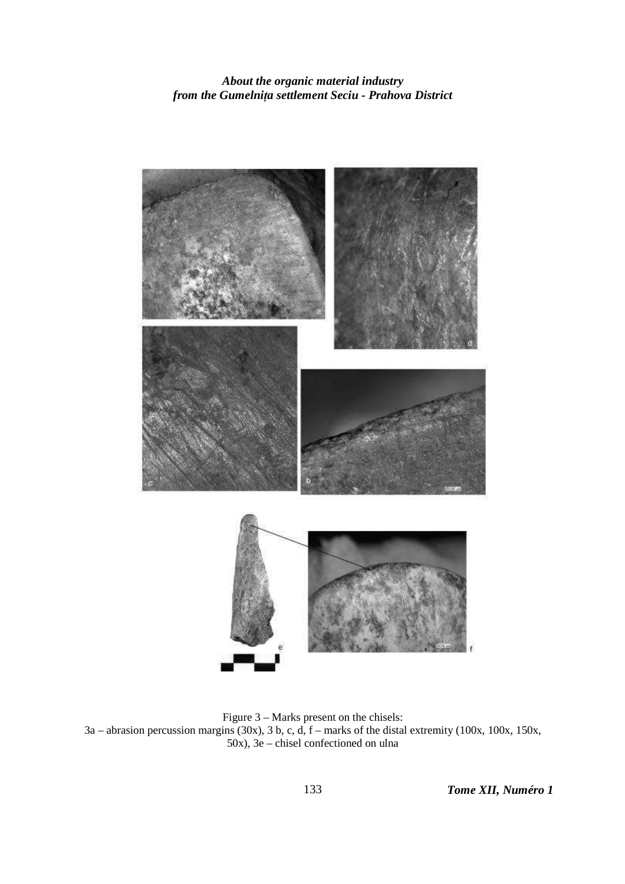

Figure 3 – Marks present on the chisels: 3a – abrasion percussion margins (30x), 3 b, c, d, f – marks of the distal extremity (100x, 100x, 150x, 50x), 3e – chisel confectioned on ulna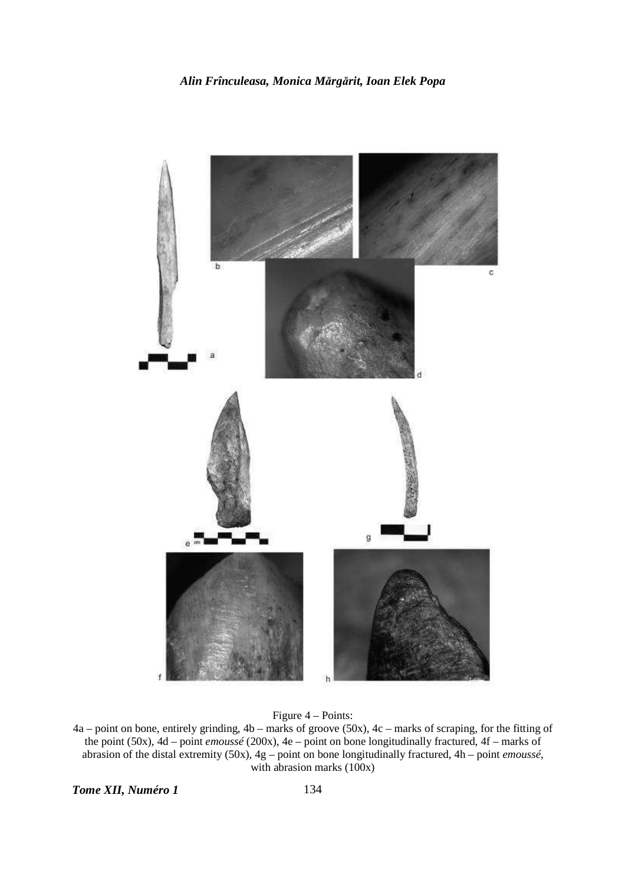

Figure 4 – Points:

4a – point on bone, entirely grinding, 4b – marks of groove (50x), 4c – marks of scraping, for the fitting of the point (50x), 4d – point *emoussé* (200x), 4e – point on bone longitudinally fractured, 4f – marks of abrasion of the distal extremity (50x), 4g – point on bone longitudinally fractured, 4h – point *emoussé*, with abrasion marks (100x)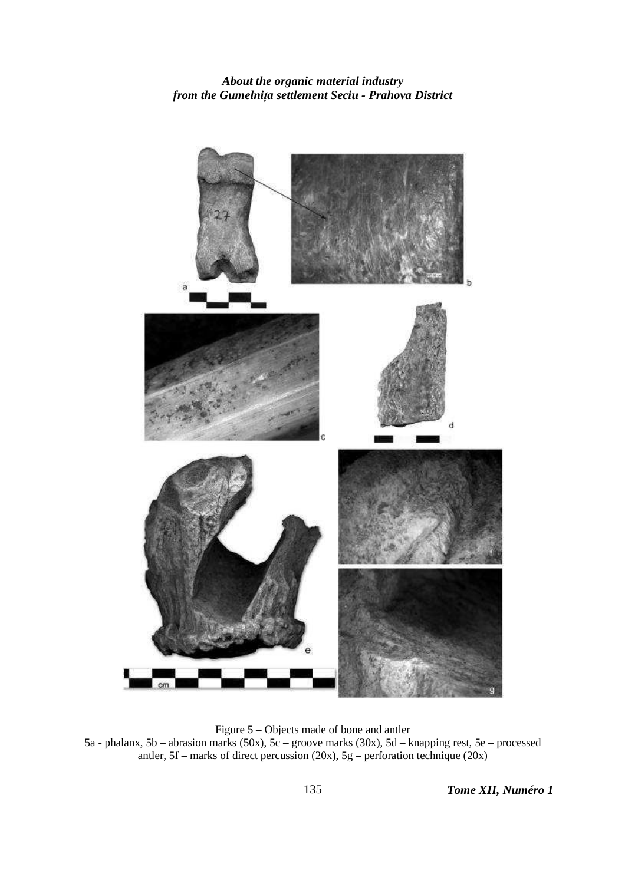

Figure 5 – Objects made of bone and antler 5a - phalanx, 5b – abrasion marks (50x), 5c – groove marks (30x), 5d – knapping rest, 5e – processed antler, 5f – marks of direct percussion (20x), 5g – perforation technique (20x)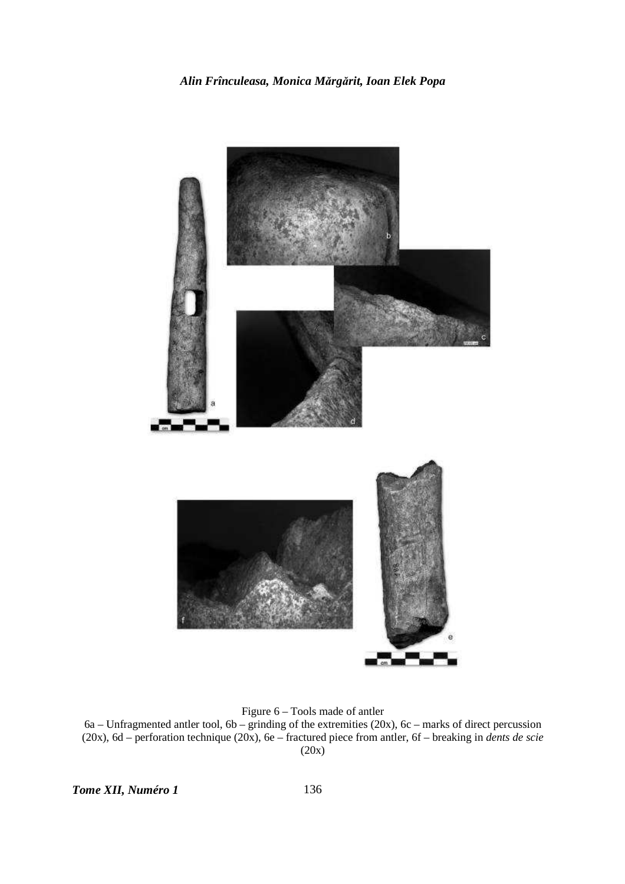

Figure 6 – Tools made of antler

 $6a$  – Unfragmented antler tool,  $6b$  – grinding of the extremities (20x),  $6c$  – marks of direct percussion (20x), 6d – perforation technique (20x), 6e – fractured piece from antler, 6f – breaking in *dents de scie* (20x)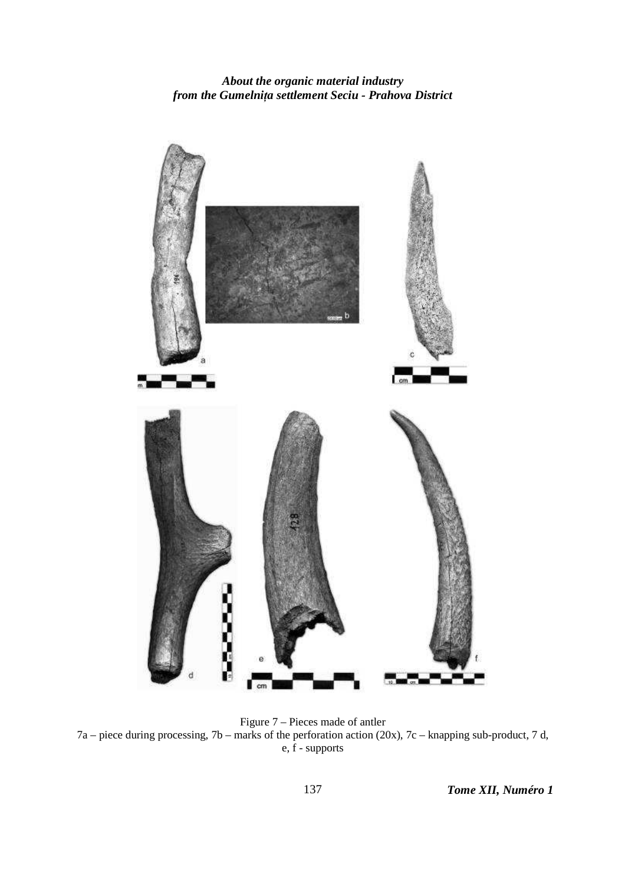

Figure 7 – Pieces made of antler 7a – piece during processing, 7b – marks of the perforation action (20x), 7c – knapping sub-product, 7 d, e, f - supports